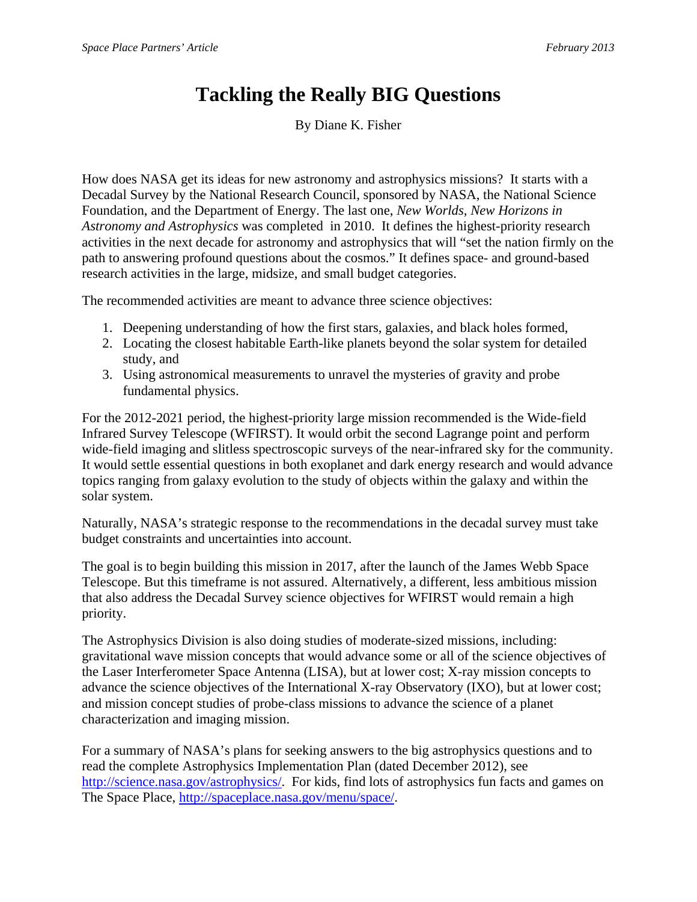## **Tackling the Really BIG Questions**

By Diane K. Fisher

How does NASA get its ideas for new astronomy and astrophysics missions? It starts with a Decadal Survey by the National Research Council, sponsored by NASA, the National Science Foundation, and the Department of Energy. The last one, *New Worlds, New Horizons in Astronomy and Astrophysics* was completed in 2010. It defines the highest-priority research activities in the next decade for astronomy and astrophysics that will "set the nation firmly on the path to answering profound questions about the cosmos." It defines space- and ground-based research activities in the large, midsize, and small budget categories.

The recommended activities are meant to advance three science objectives:

- 1. Deepening understanding of how the first stars, galaxies, and black holes formed,
- 2. Locating the closest habitable Earth-like planets beyond the solar system for detailed study, and
- 3. Using astronomical measurements to unravel the mysteries of gravity and probe fundamental physics.

For the 2012-2021 period, the highest-priority large mission recommended is the Wide-field Infrared Survey Telescope (WFIRST). It would orbit the second Lagrange point and perform wide-field imaging and slitless spectroscopic surveys of the near-infrared sky for the community. It would settle essential questions in both exoplanet and dark energy research and would advance topics ranging from galaxy evolution to the study of objects within the galaxy and within the solar system.

Naturally, NASA's strategic response to the recommendations in the decadal survey must take budget constraints and uncertainties into account.

The goal is to begin building this mission in 2017, after the launch of the James Webb Space Telescope. But this timeframe is not assured. Alternatively, a different, less ambitious mission that also address the Decadal Survey science objectives for WFIRST would remain a high priority.

The Astrophysics Division is also doing studies of moderate-sized missions, including: gravitational wave mission concepts that would advance some or all of the science objectives of the Laser Interferometer Space Antenna (LISA), but at lower cost; X-ray mission concepts to advance the science objectives of the International X-ray Observatory (IXO), but at lower cost; and mission concept studies of probe-class missions to advance the science of a planet characterization and imaging mission.

For a summary of NASA's plans for seeking answers to the big astrophysics questions and to read the complete Astrophysics Implementation Plan (dated December 2012), see http://science.nasa.gov/astrophysics/. For kids, find lots of astrophysics fun facts and games on The Space Place, http://spaceplace.nasa.gov/menu/space/.